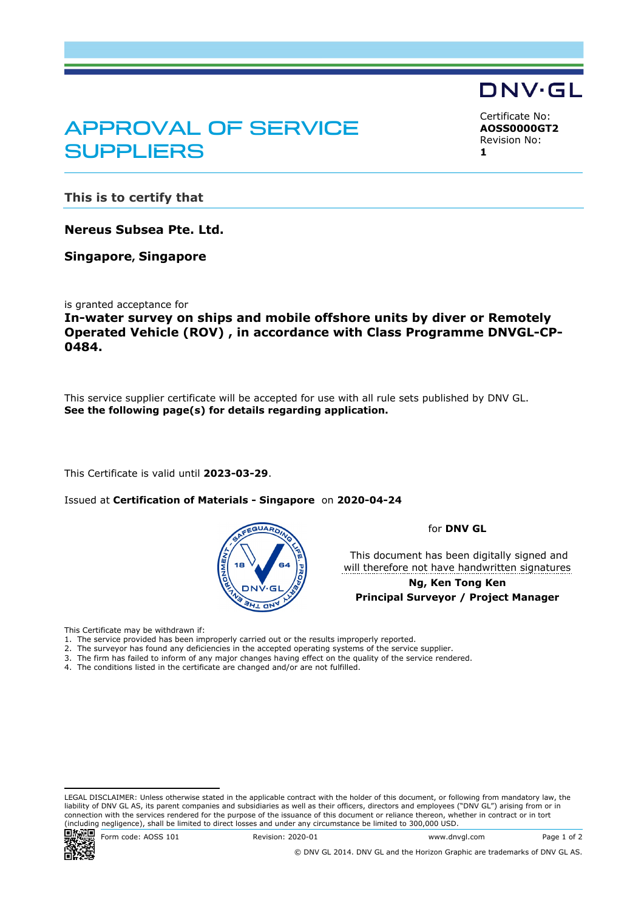## APPROVAL OF SERVICE SUPPLIERS

<span id="page-0-2"></span><span id="page-0-1"></span><span id="page-0-0"></span>Certificate No: **AOSS0000GT2** Revision No: **1**

DNV·GL

**This is to certify that**

**Nereus Subsea Pte. Ltd.**

**Singapore, Singapore**

is granted acceptance for

**In-water survey on ships and mobile offshore units by diver or Remotely Operated Vehicle (ROV) , in accordance with Class Programme DNVGL-CP-0484.**

This service supplier certificate will be accepted for use with all rule sets published by DNV GL. **See the following page(s) for details regarding application.**

This Certificate is valid until **2023-03-29**.

## Issued at **Certification of Materials - Singapore** on **2020-04-24**



for **DNV GL**

 This document has been digitally signed and will therefore not have handwritten signatures

**Ng, Ken Tong Ken Principal Surveyor / Project Manager**

This Certificate may be withdrawn if:

1. The service provided has been improperly carried out or the results improperly reported.

2. The surveyor has found any deficiencies in the accepted operating systems of the service supplier.

- 3. The firm has failed to inform of any major changes having effect on the quality of the service rendered.
- 4. The conditions listed in the certificate are changed and/or are not fulfilled.

LEGAL DISCLAIMER: Unless otherwise stated in the applicable contract with the holder of this document, or following from mandatory law, the liability of DNV GL AS, its parent companies and subsidiaries as well as their officers, directors and employees ("DNV GL") arising from or in connection with the services rendered for the purpose of the issuance of this document or reliance thereon, whether in contract or in tort (including negligence), shall be limited to direct losses and under any circumstance be limited to 300,000 USD.